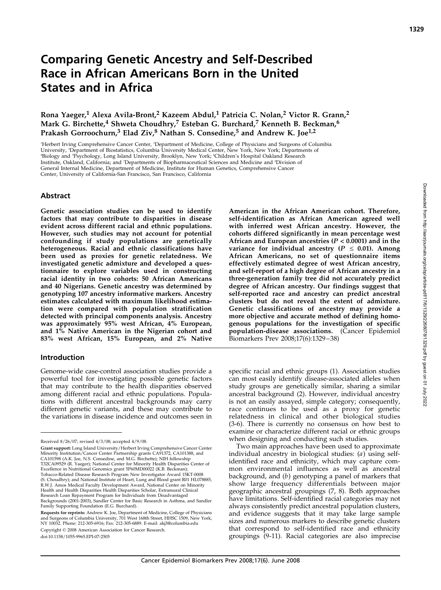# Comparing Genetic Ancestry and Self-Described Race in African Americans Born in the United States and in Africa

Rona Yaeger,<sup>1</sup> Alexa Avila-Bront,<sup>2</sup> Kazeem Abdul,<sup>1</sup> Patricia C. Nolan,<sup>2</sup> Victor R. Grann,<sup>2</sup> Mark G. Birchette,<sup>4</sup> Shweta Choudhry,<sup>7</sup> Esteban G. Burchard,<sup>7</sup> Kenneth B. Beckman,<sup>6</sup> Prakash Gorroochurn,<sup>3</sup> Elad Ziv, <sup>8</sup> Nathan S. Consedine,<sup>5</sup> and Andrew K. Joe<sup>1,2</sup>

1 Herbert Irving Comprehensive Cancer Center, <sup>2</sup> Department of Medicine, College of Physicians and Surgeons of Columbia University, <sup>3</sup>Department of Biostatistics, Columbia University Medical Center, New York, New York; Departments of 4 Biology and <sup>5</sup> Psychology, Long Island University, Brooklyn, New York; <sup>6</sup> Children's Hospital Oakland Research Institute, Oakland, California; and 'Departments of Biopharmaceutical Sciences and Medicine and 'Division of General Internal Medicine, Department of Medicine, Institute for Human Genetics, Comprehensive Cancer Center, University of California-San Francisco, San Francisco, California

#### Abstract

Genetic association studies can be used to identify factors that may contribute to disparities in disease evident across different racial and ethnic populations. However, such studies may not account for potential confounding if study populations are genetically heterogeneous. Racial and ethnic classifications have been used as proxies for genetic relatedness. We investigated genetic admixture and developed a questionnaire to explore variables used in constructing racial identity in two cohorts: 50 African Americans and 40 Nigerians. Genetic ancestry was determined by genotyping 107 ancestry informative markers. Ancestry estimates calculated with maximum likelihood estimation were compared with population stratification detected with principal components analysis. Ancestry was approximately 95% west African, 4% European, and 1% Native American in the Nigerian cohort and 83% west African, 15% European, and 2% Native

#### Introduction

Genome-wide case-control association studies provide a powerful tool for investigating possible genetic factors that may contribute to the health disparities observed among different racial and ethnic populations. Populations with different ancestral backgrounds may carry different genetic variants, and these may contribute to the variations in disease incidence and outcomes seen in

doi:10.1158/1055-9965.EPI-07-2505

American in the African American cohort. Therefore, self-identification as African American agreed well with inferred west African ancestry. However, the cohorts differed significantly in mean percentage west African and European ancestries ( $P < 0.0001$ ) and in the variance for individual ancestry ( $P \le 0.01$ ). Among African Americans, no set of questionnaire items effectively estimated degree of west African ancestry, and self-report of a high degree of African ancestry in a three-generation family tree did not accurately predict degree of African ancestry. Our findings suggest that self-reported race and ancestry can predict ancestral clusters but do not reveal the extent of admixture. Genetic classifications of ancestry may provide a more objective and accurate method of defining homogenous populations for the investigation of specific population-disease associations. (Cancer Epidemiol Biomarkers Prev 2008;17(6):1329 – 38)

specific racial and ethnic groups (1). Association studies can most easily identify disease-associated alleles when study groups are genetically similar, sharing a similar ancestral background (2). However, individual ancestry is not an easily assayed, simple category; consequently, race continues to be used as a proxy for genetic relatedness in clinical and other biological studies (3-6). There is currently no consensus on how best to examine or characterize different racial or ethnic groups when designing and conducting such studies.

Two main approaches have been used to approximate individual ancestry in biological studies: (a) using selfidentified race and ethnicity, which may capture common environmental influences as well as ancestral background, and (b) genotyping a panel of markers that show large frequency differentials between major geographic ancestral groupings (7, 8). Both approaches have limitations. Self-identified racial categories may not always consistently predict ancestral population clusters, and evidence suggests that it may take large sample sizes and numerous markers to describe genetic clusters that correspond to self-identified race and ethnicity groupings (9-11). Racial categories are also imprecise

Received 8/26/07; revised 4/3/08; accepted 4/9/08.

Grant support: Long Island University/Herbert Irving Comprehensive Cancer Center Minority Institution/Cancer Center Partnership grants CA91372, CA101388, and CA101598 (A.K. Joe, N.S. Consedine, and M.G. Birchette); NIH fellowship T32CA09529 (R. Yaeger); National Center for Minority Health Disparities Center of Excellence in Nutritional Genomics grant 5P60MD00022 (K.B. Beckman); Tobacco-Related Disease Research Program New Investigator Award 15KT-0008 (S. Choudhry); and National Institute of Heart, Lung and Blood grant R01 HL078885, R.W.J. Amos Medical Faculty Development Award, National Center on Minority Health and Health Disparities Health Disparities Scholar, Extramural Clinical Research Loan Repayment Program for Individuals from Disadvantaged Backgrounds (2001-2003), Sandler Center for Basic Research in Asthma, and Sandler Family Supporting Foundation (E.G. Burchard).

Requests for reprints: Andrew K. Joe, Department of Medicine, College of Physicians and Surgeons of Columbia University, 701 West 168th Street, HHSC 1509, New York, NY 10032. Phone: 212-305-6916; Fax: 212-305-6889. E-mail: akj3@columbia.edu Copyright © 2008 American Association for Cancer Research.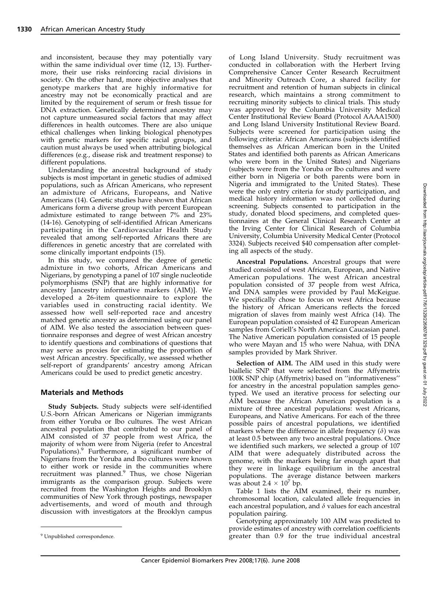and inconsistent, because they may potentially vary within the same individual over time (12, 13). Furthermore, their use risks reinforcing racial divisions in society. On the other hand, more objective analyses that genotype markers that are highly informative for ancestry may not be economically practical and are limited by the requirement of serum or fresh tissue for DNA extraction. Genetically determined ancestry may not capture unmeasured social factors that may affect differences in health outcomes. There are also unique ethical challenges when linking biological phenotypes with genetic markers for specific racial groups, and caution must always be used when attributing biological differences (e.g., disease risk and treatment response) to different populations.

Understanding the ancestral background of study subjects is most important in genetic studies of admixed populations, such as African Americans, who represent an admixture of Africans, Europeans, and Native Americans (14). Genetic studies have shown that African Americans form a diverse group with percent European admixture estimated to range between 7% and 23% (14-16). Genotyping of self-identified African Americans participating in the Cardiovascular Health Study revealed that among self-reported Africans there are differences in genetic ancestry that are correlated with some clinically important endpoints (15).

In this study, we compared the degree of genetic admixture in two cohorts, African Americans and Nigerians, by genotyping a panel of 107 single nucleotide polymorphisms (SNP) that are highly informative for ancestry [ancestry informative markers (AIM)]. We developed a 26-item questionnaire to explore the variables used in constructing racial identity. We assessed how well self-reported race and ancestry matched genetic ancestry as determined using our panel of AIM. We also tested the association between questionnaire responses and degree of west African ancestry to identify questions and combinations of questions that may serve as proxies for estimating the proportion of west African ancestry. Specifically, we assessed whether self-report of grandparents' ancestry among African Americans could be used to predict genetic ancestry.

### Materials and Methods

Study Subjects. Study subjects were self-identified U.S.-born African Americans or Nigerian immigrants from either Yoruba or Ibo cultures. The west African ancestral population that contributed to our panel of AIM consisted of 37 people from west Africa, the majority of whom were from Nigeria (refer to Ancestral Populations).<sup>9</sup> Furthermore, a significant number of Nigerians from the Yoruba and Ibo cultures were known to either work or reside in the communities where<br>recruitment was planned.<sup>9</sup> Thus, we chose Nigerian immigrants as the comparison group. Subjects were recruited from the Washington Heights and Brooklyn communities of New York through postings, newspaper advertisements, and word of mouth and through discussion with investigators at the Brooklyn campus of Long Island University. Study recruitment was conducted in collaboration with the Herbert Irving Comprehensive Cancer Center Research Recruitment and Minority Outreach Core, a shared facility for recruitment and retention of human subjects in clinical research, which maintains a strong commitment to recruiting minority subjects to clinical trials. This study was approved by the Columbia University Medical Center Institutional Review Board (Protocol AAAA1500) and Long Island University Institutional Review Board. Subjects were screened for participation using the following criteria: African Americans (subjects identified themselves as African American born in the United States and identified both parents as African Americans who were born in the United States) and Nigerians (subjects were from the Yoruba or Ibo cultures and were either born in Nigeria or both parents were born in Nigeria and immigrated to the United States). These were the only entry criteria for study participation, and medical history information was not collected during screening. Subjects consented to participation in the study, donated blood specimens, and completed questionnaires at the General Clinical Research Center at the Irving Center for Clinical Research of Columbia University, Columbia University Medical Center (Protocol 3324). Subjects received \$40 compensation after completing all aspects of the study.

Ancestral Populations. Ancestral groups that were studied consisted of west African, European, and Native American populations. The west African ancestral population consisted of 37 people from west Africa, and DNA samples were provided by Paul McKeigue. We specifically chose to focus on west Africa because the history of African Americans reflects the forced migration of slaves from mainly west Africa (14). The European population consisted of 42 European American samples from Coriell's North American Caucasian panel. The Native American population consisted of 15 people who were Mayan and 15 who were Nahua, with DNA samples provided by Mark Shriver.

Selection of AIM. The AIM used in this study were biallelic SNP that were selected from the Affymetrix 100K SNP chip (Affymetrix) based on ''informativeness'' for ancestry in the ancestral population samples genotyped. We used an iterative process for selecting our AIM because the African American population is a mixture of three ancestral populations: west Africans, Europeans, and Native Americans. For each of the three possible pairs of ancestral populations, we identified markers where the difference in allele frequency  $(\delta)$  was at least 0.5 between any two ancestral populations. Once we identified such markers, we selected a group of 107 AIM that were adequately distributed across the genome, with the markers being far enough apart that they were in linkage equilibrium in the ancestral populations. The average distance between markers was about 2.4  $\times$  10<sup>7</sup> bp.

Table 1 lists the AIM examined, their rs number, chromosomal location, calculated allele frequencies in each ancestral population, and  $\delta$  values for each ancestral population pairing.

Genotyping approximately 100 AIM was predicted to provide estimates of ancestry with correlation coefficients <sup>9</sup> Unpublished correspondence. The state of the true individual ancestral 9 Unpublished correspondence.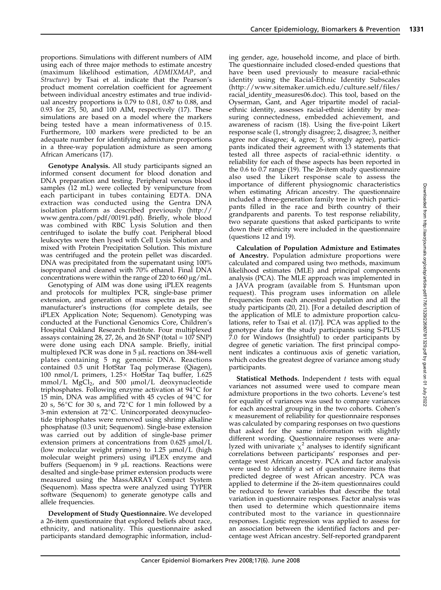proportions. Simulations with different numbers of AIM using each of three major methods to estimate ancestry (maximum likelihood estimation, ADMIXMAP, and Structure) by Tsai et al. indicate that the Pearson's product moment correlation coefficient for agreement between individual ancestry estimates and true individual ancestry proportions is 0.79 to 0.81, 0.87 to 0.88, and  $0.93$  for 25, 50, and 100 AIM, respectively (17). These simulations are based on a model where the markers being tested have a mean informativeness of 0.15. Furthermore, 100 markers were predicted to be an adequate number for identifying admixture proportions in a three-way population admixture as seen among African Americans (17).

Genotype Analysis. All study participants signed an informed consent document for blood donation and DNA preparation and testing. Peripheral venous blood samples (12 mL) were collected by venipuncture from each participant in tubes containing EDTA. DNA extraction was conducted using the Gentra DNA isolation platform as described previously (http:// www.gentra.com/pdf/00191.pdf). Briefly, whole blood was combined with RBC Lysis Solution and then centrifuged to isolate the buffy coat. Peripheral blood leukocytes were then lysed with Cell Lysis Solution and mixed with Protein Precipitation Solution. This mixture was centrifuged and the protein pellet was discarded. DNA was precipitated from the supernatant using 100% isopropanol and cleaned with 70% ethanol. Final DNA concentrations were within the range of 220 to 660  $\mu$ g/mL.

Genotyping of AIM was done using iPLEX reagents and protocols for multiplex PCR, single-base primer extension, and generation of mass spectra as per the manufacturer's instructions (for complete details, see iPLEX Application Note; Sequenom). Genotyping was conducted at the Functional Genomics Core, Children's Hospital Oakland Research Institute. Four multiplexed assays containing 28, 27, 26, and 26 SNP (total =  $10\overline{7}$  SNP) were done using each DNA sample. Briefly, initial multiplexed PCR was done in  $5 \mu$ L reactions on 384-well plates containing 5 ng genomic DNA. Reactions contained 0.5 unit HotStar Taq polymerase (Qiagen), 100 nmol/L primers,  $1.25 \times$  HotStar Taq buffer, 1.625 mmol/L  $MgCl<sub>2</sub>$ , and 500  $\mu$ mol/L deoxynucleotide triphosphates. Following enzyme activation at  $94^{\circ}C$  for 15 min, DNA was amplified with 45 cycles of  $94^{\circ}$ C for 20 s,  $56^{\circ}$ C for 30 s, and  $72^{\circ}$ C for 1 min followed by a 3-min extension at 72°C. Unincorporated deoxynucleotide triphosphates were removed using shrimp alkaline phosphatase (0.3unit; Sequenom). Single-base extension was carried out by addition of single-base primer extension primers at concentrations from  $0.625 \mu$ mol/L (low molecular weight primers) to  $1.25 \text{ }\mu\text{mol/L}$  (high molecular weight primers) using iPLEX enzyme and buffers (Sequenom) in 9  $\mu$ L reactions. Reactions were desalted and single-base primer extension products were measured using the MassARRAY Compact System (Sequenom). Mass spectra were analyzed using TYPER software (Sequenom) to generate genotype calls and allele frequencies.

Development of Study Questionnaire. We developed a 26-item questionnaire that explored beliefs about race, ethnicity, and nationality. This questionnaire asked participants standard demographic information, including gender, age, household income, and place of birth. The questionnaire included closed-ended questions that have been used previously to measure racial-ethnic identity using the Racial-Ethnic Identity Subscales (http://www.sitemaker.umich.edu/culture.self/files/ racial\_identity\_measures06.doc). This tool, based on the Oyserman, Gant, and Ager tripartite model of racialethnic identity, assesses racial-ethnic identity by measuring connectedness, embedded achievement, and awareness of racism (18). Using the five-point Likert response scale (1, strongly disagree; 2, disagree; 3, neither agree nor disagree; 4, agree; 5, strongly agree), participants indicated their agreement with 13 statements that tested all three aspects of racial-ethnic identity.  $\alpha$ reliability for each of these aspects has been reported in the 0.6 to 0.7 range (19). The 26-item study questionnaire also used the Likert response scale to assess the importance of different physiognomic characteristics when estimating African ancestry. The questionnaire included a three-generation family tree in which participants filled in the race and birth country of their grandparents and parents. To test response reliability, two separate questions that asked participants to write down their ethnicity were included in the questionnaire (questions 12 and 19).

Calculation of Population Admixture and Estimates of Ancestry. Population admixture proportions were calculated and compared using two methods, maximum likelihood estimates (MLE) and principal components analysis (PCA). The MLE approach was implemented in a JAVA program (available from S. Huntsman upon request). This program uses information on allele frequencies from each ancestral population and all the study participants (20, 21). [For a detailed description of the application of MLE to admixture proportion calculations, refer to Tsai et al. (17)]. PCA was applied to the genotype data for the study participants using S-PLUS 7.0 for Windows (Insightful) to order participants by degree of genetic variation. The first principal component indicates a continuous axis of genetic variation, which codes the greatest degree of variance among study participants.

**Statistical Methods.** Independent  $t$  tests with equal variances not assumed were used to compare mean admixture proportions in the two cohorts. Levene's test for equality of variances was used to compare variances for each ancestral grouping in the two cohorts. Cohen's  $\kappa$  measurement of reliability for questionnaire responses was calculated by comparing responses on two questions that asked for the same information with slightly different wording. Questionnaire responses were analyzed with univariate  $\chi^2$  analyses to identify significant correlations between participants' responses and percentage west African ancestry. PCA and factor analysis were used to identify a set of questionnaire items that predicted degree of west African ancestry. PCA was applied to determine if the 26-item questionnaires could be reduced to fewer variables that describe the total variation in questionnaire responses. Factor analysis was then used to determine which questionnaire items contributed most to the variance in questionnaire responses. Logistic regression was applied to assess for an association between the identified factors and percentage west African ancestry. Self-reported grandparent

Downloaded from http://aacrjournals.org/cebp/article-pdf/17/6/1329/2268078/1329.pdf by guest on 01 July 2022 Downloaded from http://aacrjournals.org/cebp/article-pdf/17/6/1329/2268078/1329.pdf by guest on 01 July 2022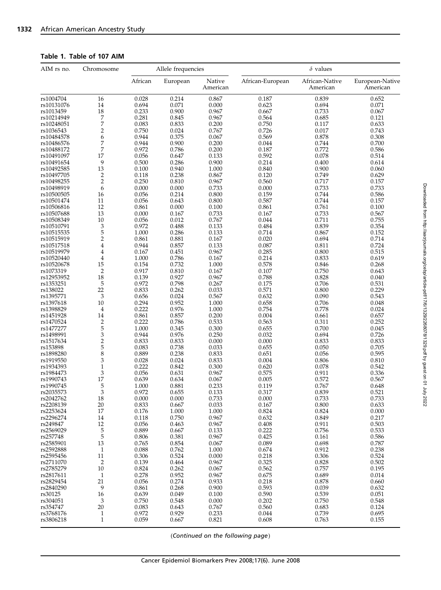#### Table 1. Table of 107 AIM

| AIM rs no.               | Chromosome                       |                | Allele frequencies |                    | $\delta$ values  |                            |                             |
|--------------------------|----------------------------------|----------------|--------------------|--------------------|------------------|----------------------------|-----------------------------|
|                          |                                  | African        | European           | Native<br>American | African-European | African-Native<br>American | European-Native<br>American |
| rs1004704                | 16                               | 0.028          | 0.214              | 0.867              | 0.187            | 0.839                      | 0.652                       |
| rs10131076               | 14                               | 0.694          | 0.071              | 0.000              | 0.623            | 0.694                      | 0.071                       |
| rs1013459                | 18                               | 0.233          | 0.900              | 0.967              | 0.667            | 0.733                      | 0.067                       |
| rs10214949               | 7                                | 0.281          | 0.845              | 0.967              | 0.564            | 0.685                      | 0.121                       |
| rs10248051<br>rs1036543  | 7<br>$\overline{2}$              | 0.083<br>0.750 | 0.833<br>0.024     | 0.200<br>0.767     | 0.750<br>0.726   | 0.117<br>0.017             | 0.633<br>0.743              |
| rs10484578               | 6                                | 0.944          | 0.375              | 0.067              | 0.569            | 0.878                      | 0.308                       |
| rs10486576               | 7                                | 0.944          | 0.900              | 0.200              | 0.044            | 0.744                      | 0.700                       |
| rs10488172               | 7                                | 0.972          | 0.786              | 0.200              | 0.187            | 0.772                      | 0.586                       |
| rs10491097               | 17                               | 0.056          | 0.647              | 0.133              | 0.592            | 0.078                      | 0.514                       |
| rs10491654               | 9                                | 0.500          | 0.286              | 0.900              | 0.214            | 0.400                      | 0.614                       |
| rs10492585               | 13                               | 0.100          | 0.940              | 1.000              | 0.840            | 0.900                      | 0.060                       |
| rs10497705               | $\overline{\mathbf{c}}$          | 0.118          | 0.238              | 0.867              | 0.120            | 0.749                      | 0.629                       |
| rs10498255               | $\overline{c}$                   | 0.250          | 0.810              | 0.967              | 0.560            | 0.717                      | 0.157                       |
| rs10498919<br>rs10500505 | 6<br>16                          | 0.000<br>0.056 | 0.000<br>0.214     | 0.733<br>0.800     | 0.000<br>0.159   | 0.733<br>0.744             | 0.733<br>0.586              |
| rs10501474               | 11                               | 0.056          | 0.643              | 0.800              | 0.587            | 0.744                      | 0.157                       |
| rs10506816               | 12                               | 0.861          | 0.000              | 0.100              | 0.861            | 0.761                      | 0.100                       |
| rs10507688               | 13                               | 0.000          | 0.167              | 0.733              | 0.167            | 0.733                      | 0.567                       |
| rs10508349               | 10                               | 0.056          | 0.012              | 0.767              | 0.044            | 0.711                      | 0.755                       |
| rs10510791               | 3                                | 0.972          | 0.488              | 0.133              | 0.484            | 0.839                      | 0.354                       |
| rs10515535               | 5                                | 1.000          | 0.286              | 0.133              | 0.714            | 0.867                      | 0.152                       |
| rs10515919               | $\overline{c}$<br>$\overline{4}$ | 0.861          | 0.881              | 0.167              | 0.020            | 0.694                      | 0.714                       |
| rs10517518<br>rs10519979 | 4                                | 0.944<br>0.167 | 0.857<br>0.451     | 0.133<br>0.967     | 0.087<br>0.285   | 0.811<br>0.800             | 0.724<br>0.515              |
| rs10520440               | $\overline{4}$                   | 1.000          | 0.786              | 0.167              | 0.214            | 0.833                      | 0.619                       |
| rs10520678               | 15                               | 0.154          | 0.732              | 1.000              | 0.578            | 0.846                      | 0.268                       |
| rs1073319                | $\overline{2}$                   | 0.917          | 0.810              | 0.167              | 0.107            | 0.750                      | 0.643                       |
| rs12953952               | 18                               | 0.139          | 0.927              | 0.967              | 0.788            | 0.828                      | 0.040                       |
| rs1353251                | 5                                | 0.972          | 0.798              | 0.267              | 0.175            | 0.706                      | 0.531                       |
| rs138022                 | 22                               | 0.833          | 0.262              | 0.033              | 0.571            | 0.800                      | 0.229                       |
| rs1395771<br>rs1397618   | 3<br>10                          | 0.656<br>0.294 | 0.024<br>0.952     | 0.567<br>1.000     | 0.632<br>0.658   | 0.090<br>0.706             | 0.543<br>0.048              |
| rs1398829                | 4                                | 0.222          | 0.976              | 1.000              | 0.754            | 0.778                      | 0.024                       |
| rs1451928                | 14                               | 0.861          | 0.857              | 0.200              | 0.004            | 0.661                      | 0.657                       |
| rs1470524                | $\overline{\mathbf{c}}$          | 0.222          | 0.786              | 0.533              | 0.563            | 0.311                      | 0.252                       |
| rs1477277                | 5                                | 1.000          | 0.345              | 0.300              | 0.655            | 0.700                      | 0.045                       |
| rs1498991                | 3                                | 0.944          | 0.976              | 0.250              | 0.032            | 0.694                      | 0.726                       |
| rs1517634                | $\overline{c}$                   | 0.833          | 0.833              | 0.000              | 0.000            | 0.833                      | 0.833                       |
| rs153898<br>rs1898280    | 5<br>8                           | 0.083<br>0.889 | 0.738<br>0.238     | 0.033<br>0.833     | 0.655<br>0.651   | 0.050<br>0.056             | 0.705<br>0.595              |
| rs1919550                | 3                                | 0.028          | 0.024              | 0.833              | 0.004            | 0.806                      | 0.810                       |
| rs1934393                | $\mathbf{1}$                     | 0.222          | 0.842              | 0.300              | 0.620            | 0.078                      | 0.542                       |
| rs1984473                | 3                                | 0.056          | 0.631              | 0.967              | 0.575            | 0.911                      | 0.336                       |
| rs1990743                | 17                               | 0.639          | 0.634              | 0.067              | 0.005            | 0.572                      | 0.567                       |
| rs1990745                | 5                                | 1.000          | 0.881              | 0.233              | 0.119            | 0.767                      | 0.648                       |
| rs2035573                | 3                                | 0.972          | 0.655              | 0.133              | 0.317            | 0.839                      | 0.521                       |
| rs2042762<br>rs2208139   | 18<br>20                         | 0.000<br>0.833 | 0.000<br>0.667     | 0.733<br>0.033     | 0.000<br>0.167   | 0.733<br>0.800             | 0.733<br>0.633              |
| rs2253624                | 17                               | 0.176          | 1.000              | 1.000              | 0.824            | 0.824                      | 0.000                       |
| rs2296274                | 14                               | 0.118          | 0.750              | 0.967              | 0.632            | 0.849                      | 0.217                       |
| rs249847                 | 12                               | 0.056          | 0.463              | 0.967              | 0.408            | 0.911                      | 0.503                       |
| rs2569029                | 5                                | 0.889          | 0.667              | 0.133              | 0.222            | 0.756                      | 0.533                       |
| rs257748                 | 5                                | 0.806          | 0.381              | 0.967              | 0.425            | 0.161                      | 0.586                       |
| rs2585901                | 13                               | 0.765          | 0.854              | 0.067              | 0.089            | 0.698                      | 0.787                       |
| rs2592888                | 1                                | 0.088          | 0.762              | 1.000              | 0.674            | 0.912                      | 0.238                       |
| rs2595456<br>rs2711070   | 11<br>$\overline{2}$             | 0.306<br>0.139 | 0.524<br>0.464     | 0.000<br>0.967     | 0.218<br>0.325   | 0.306<br>0.828             | 0.524<br>0.502              |
| rs2785279                | 10                               | 0.824          | 0.262              | 0.067              | 0.562            | 0.757                      | 0.195                       |
| rs2817611                | $\mathbf{1}$                     | 0.278          | 0.952              | 0.967              | 0.675            | 0.689                      | 0.014                       |
| rs2829454                | 21                               | 0.056          | 0.274              | 0.933              | 0.218            | 0.878                      | 0.660                       |
| rs2840290                | 9                                | 0.861          | 0.268              | 0.900              | 0.593            | 0.039                      | 0.632                       |
| rs30125                  | 16                               | 0.639          | 0.049              | 0.100              | 0.590            | 0.539                      | 0.051                       |
| rs304051                 | 3                                | 0.750          | 0.548              | 0.000              | 0.202            | 0.750                      | 0.548                       |
| rs354747<br>rs3768176    | 20<br>$\mathbf{1}$               | 0.083<br>0.972 | 0.643<br>0.929     | 0.767<br>0.233     | 0.560<br>0.044   | 0.683<br>0.739             | 0.124<br>0.695              |
| rs3806218                | $\mathbf{1}$                     | 0.059          | 0.667              | 0.821              | 0.608            | 0.763                      | 0.155                       |
|                          |                                  |                |                    |                    |                  |                            |                             |

(Continued on the following page)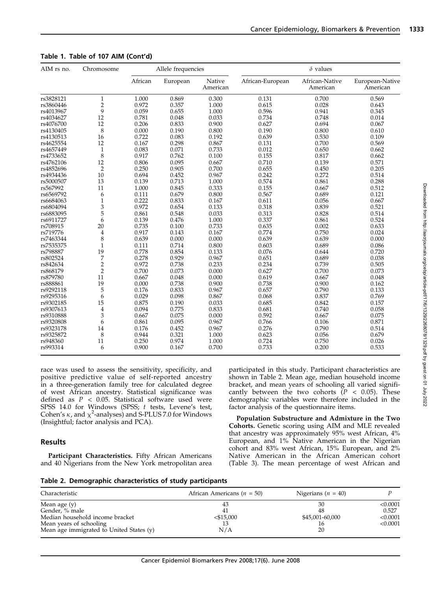| AIM rs no. | Chromosome     | Allele frequencies |          |                    | $\delta$ values  |                            |                             |
|------------|----------------|--------------------|----------|--------------------|------------------|----------------------------|-----------------------------|
|            |                | African            | European | Native<br>American | African-European | African-Native<br>American | European-Native<br>American |
| rs3828121  | $\mathbf{1}$   | 1.000              | 0.869    | 0.300              | 0.131            | 0.700                      | 0.569                       |
| rs3860446  | $\overline{2}$ | 0.972              | 0.357    | 1.000              | 0.615            | 0.028                      | 0.643                       |
| rs4013967  | 9              | 0.059              | 0.655    | 1.000              | 0.596            | 0.941                      | 0.345                       |
| rs4034627  | 12             | 0.781              | 0.048    | 0.033              | 0.734            | 0.748                      | 0.014                       |
| rs4076700  | 12             | 0.206              | 0.833    | 0.900              | 0.627            | 0.694                      | 0.067                       |
| rs4130405  | 8              | 0.000              | 0.190    | 0.800              | 0.190            | 0.800                      | 0.610                       |
| rs4130513  | 16             | 0.722              | 0.083    | 0.192              | 0.639            | 0.530                      | 0.109                       |
| rs4625554  | 12             | 0.167              | 0.298    | 0.867              | 0.131            | 0.700                      | 0.569                       |
| rs4657449  | $\mathbf{1}$   | 0.083              | 0.071    | 0.733              | 0.012            | 0.650                      | 0.662                       |
| rs4733652  | 8              | 0.917              | 0.762    | 0.100              | 0.155            | 0.817                      | 0.662                       |
| rs4762106  | 12             | 0.806              | 0.095    | 0.667              | 0.710            | 0.139                      | 0.571                       |
| rs4852696  | 2              | 0.250              | 0.905    | 0.700              | 0.655            | 0.450                      | 0.205                       |
| rs4934436  | 10             | 0.694              | 0.452    | 0.967              | 0.242            | 0.272                      | 0.514                       |
| rs5000507  | 13             | 0.139              | 0.713    | 1.000              | 0.574            | 0.861                      | 0.288                       |
| rs567992   | 11             | 1.000              | 0.845    | 0.333              | 0.155            | 0.667                      | 0.512                       |
| rs6569792  | 6              | 0.111              | 0.679    | 0.800              | 0.567            | 0.689                      | 0.121                       |
| rs6684063  | 1              | 0.222              | 0.833    | 0.167              | 0.611            | 0.056                      | 0.667                       |
| rs6804094  | 3              | 0.972              | 0.654    | 0.133              | 0.318            | 0.839                      | 0.521                       |
| rs6883095  | 5              | 0.861              | 0.548    | 0.033              | 0.313            | 0.828                      | 0.514                       |
| rs6911727  | 6              | 0.139              | 0.476    | 1.000              | 0.337            | 0.861                      | 0.524                       |
| rs708915   | 20             | 0.735              | 0.100    | 0.733              | 0.635            | 0.002                      | 0.633                       |
| rs719776   | 4              | 0.917              | 0.143    | 0.167              | 0.774            | 0.750                      | 0.024                       |
| rs7463344  | 8              | 0.639              | 0.000    | 0.000              | 0.639            | 0.639                      | 0.000                       |
| rs7535375  | 1              | 0.111              | 0.714    | 0.800              | 0.603            | 0.689                      | 0.086                       |
| rs798887   | 19             | 0.778              | 0.854    | 0.133              | 0.076            | 0.644                      | 0.720                       |
| rs802524   | 7              | 0.278              | 0.929    | 0.967              | 0.651            | 0.689                      | 0.038                       |
| rs842634   | $\overline{2}$ | 0.972              | 0.738    | 0.233              | 0.234            | 0.739                      | 0.505                       |
| rs868179   | $\overline{2}$ | 0.700              | 0.073    | 0.000              | 0.627            | 0.700                      | 0.073                       |
| rs879780   | 11             | 0.667              | 0.048    | 0.000              | 0.619            | 0.667                      | 0.048                       |
| rs888861   | 19             | 0.000              | 0.738    | 0.900              | 0.738            | 0.900                      | 0.162                       |
| rs9292118  | 5              | 0.176              | 0.833    | 0.967              | 0.657            | 0.790                      | 0.133                       |
| rs9295316  | 6              | 0.029              | 0.098    | 0.867              | 0.068            | 0.837                      | 0.769                       |
| rs9302185  | 15             | 0.875              | 0.190    | 0.033              | 0.685            | 0.842                      | 0.157                       |
| rs9307613  | $\overline{4}$ | 0.094              | 0.775    | 0.833              | 0.681            | 0.740                      | 0.058                       |
| rs9310888  | 3              | 0.667              | 0.075    | 0.000              | 0.592            | 0.667                      | 0.075                       |
| rs9320808  | 6              | 0.861              | 0.095    | 0.967              | 0.766            | 0.106                      | 0.871                       |
| rs9323178  | 14             | 0.176              | 0.452    | 0.967              | 0.276            | 0.790                      | 0.514                       |
| rs9325872  | 8              | 0.944              | 0.321    | 1.000              | 0.623            | 0.056                      | 0.679                       |
| rs948360   | 11             | 0.250              | 0.974    | 1.000              | 0.724            | 0.750                      | 0.026                       |
| rs993314   | 6              | 0.900              | 0.167    | 0.700              | 0.733            | 0.200                      | 0.533                       |

#### Table 1. Table of 107 AIM (Cont'd)

race was used to assess the sensitivity, specificity, and positive predictive value of self-reported ancestry in a three-generation family tree for calculated degree of west African ancestry. Statistical significance was defined as  $P < 0.05$ . Statistical software used were SPSS 14.0 for Windows (SPSS; t tests, Levene's test, Cohen's  $\kappa$ , and  $\chi^2$ -analyses) and S-PLUS 7.0 for Windows (Insightful; factor analysis and PCA).

### Results

Participant Characteristics. Fifty African Americans and 40 Nigerians from the New York metropolitan area participated in this study. Participant characteristics are shown in Table 2. Mean age, median household income bracket, and mean years of schooling all varied significantly between the two cohorts  $(P < 0.05)$ . These demographic variables were therefore included in the factor analysis of the questionnaire items.

Population Substructure and Admixture in the Two Cohorts. Genetic scoring using AIM and MLE revealed that ancestry was approximately 95% west African, 4% European, and 1% Native American in the Nigerian cohort and 83% west African, 15% European, and 2% Native American in the African American cohort (Table 3). The mean percentage of west African and

|  |  | Table 2. Demographic characteristics of study participants |  |  |
|--|--|------------------------------------------------------------|--|--|
|--|--|------------------------------------------------------------|--|--|

| Characteristic                           | African Americans ( $n = 50$ ) | Nigerians $(n = 40)$ |          |  |
|------------------------------------------|--------------------------------|----------------------|----------|--|
| Mean age $(y)$                           | 43                             | 30                   | < 0.0001 |  |
| Gender, % male                           | 41                             | 48                   | 0.527    |  |
| Median household income bracket          | $<$ \$15,000                   | \$45,001-60,000      | < 0.0001 |  |
| Mean years of schooling                  | 13                             | 16                   | < 0.0001 |  |
| Mean age immigrated to United States (y) | N/A                            | 20                   |          |  |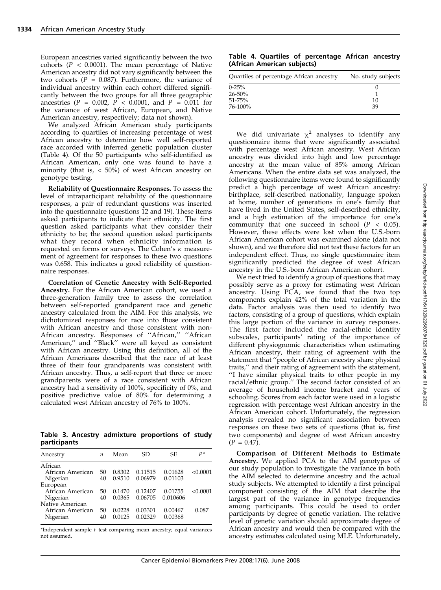European ancestries varied significantly between the two cohorts ( $P < 0.0001$ ). The mean percentage of Native American ancestry did not vary significantly between the two cohorts ( $P = 0.087$ ). Furthermore, the variance of individual ancestry within each cohort differed significantly between the two groups for all three geographic ancestries ( $P = 0.002$ ,  $P \le 0.0001$ , and  $P = 0.011$  for the variance of west African, European, and Native American ancestry, respectively; data not shown).

We analyzed African American study participants according to quartiles of increasing percentage of west African ancestry to determine how well self-reported race accorded with inferred genetic population cluster (Table 4). Of the 50 participants who self-identified as African American, only one was found to have a minority (that is,  $<$  50%) of west African ancestry on genotype testing.

Reliability of Questionnaire Responses. To assess the level of intraparticipant reliability of the questionnaire responses, a pair of redundant questions was inserted into the questionnaire (questions 12 and 19). These items asked participants to indicate their ethnicity. The first question asked participants what they consider their ethnicity to be; the second question asked participants what they record when ethnicity information is requested on forms or surveys. The Cohen's  $\kappa$  measurement of agreement for responses to these two questions was 0.658. This indicates a good reliability of questionnaire responses.

Correlation of Genetic Ancestry with Self-Reported Ancestry. For the African American cohort, we used a three-generation family tree to assess the correlation between self-reported grandparent race and genetic ancestry calculated from the AIM. For this analysis, we dichotomized responses for race into those consistent with African ancestry and those consistent with non-African ancestry. Responses of ''African,'' ''African American,'' and ''Black'' were all keyed as consistent with African ancestry. Using this definition, all of the African Americans described that the race of at least three of their four grandparents was consistent with African ancestry. Thus, a self-report that three or more grandparents were of a race consistent with African ancestry had a sensitivity of 100%, specificity of 0%, and positive predictive value of 80% for determining a calculated west African ancestry of 76% to 100%.

Table 3. Ancestry admixture proportions of study participants

| Ancestry         | п  | Mean   | SD      | SE.      | p*       |
|------------------|----|--------|---------|----------|----------|
| African          |    |        |         |          |          |
| African American | 50 | 0.8302 | 0.11515 | 0.01628  | < 0.0001 |
| Nigerian         | 40 | 0.9510 | 0.06979 | 0.01103  |          |
| European         |    |        |         |          |          |
| African American | 50 | 0.1470 | 0.12407 | 0.01755  | < 0.0001 |
| Nigerian         | 40 | 0.0365 | 0.06705 | 0.010606 |          |
| Native American  |    |        |         |          |          |
| African American | 50 | 0.0228 | 0.03301 | 0.00467  | 0.087    |
| Nigerian         | 40 | 0.0125 | 0.02329 | 0.00368  |          |
|                  |    |        |         |          |          |

 $*$ Independent sample  $t$  test comparing mean ancestry; equal variances not assumed.

Table 4. Quartiles of percentage African ancestry (African American subjects)

| Quartiles of percentage African ancestry | No. study subjects |
|------------------------------------------|--------------------|
| $0 - 25%$<br>26-50%                      | O                  |
| 51-75%<br>76-100%                        | 10<br>39           |
|                                          |                    |

We did univariate  $\chi^2$  analyses to identify any questionnaire items that were significantly associated with percentage west African ancestry. West African ancestry was divided into high and low percentage ancestry at the mean value of 85% among African Americans. When the entire data set was analyzed, the following questionnaire items were found to significantly predict a high percentage of west African ancestry: birthplace, self-described nationality, language spoken at home, number of generations in one's family that have lived in the United States, self-described ethnicity, and a high estimation of the importance for one's community that one succeed in school  $(P < 0.05)$ . However, these effects were lost when the U.S.-born African American cohort was examined alone (data not shown), and we therefore did not test these factors for an independent effect. Thus, no single questionnaire item significantly predicted the degree of west African ancestry in the U.S.-born African American cohort.

We next tried to identify a group of questions that may possibly serve as a proxy for estimating west African ancestry. Using PCA, we found that the two top components explain 42% of the total variation in the data. Factor analysis was then used to identify two factors, consisting of a group of questions, which explain this large portion of the variance in survey responses. The first factor included the racial-ethnic identity subscales, participants' rating of the importance of different physiognomic characteristics when estimating African ancestry, their rating of agreement with the statement that ''people of African ancestry share physical traits,'' and their rating of agreement with the statement, ''I have similar physical traits to other people in my racial/ethnic group.'' The second factor consisted of an average of household income bracket and years of schooling. Scores from each factor were used in a logistic regression with percentage west African ancestry in the African American cohort. Unfortunately, the regression analysis revealed no significant association between responses on these two sets of questions (that is, first two components) and degree of west African ancestry  $(P = 0.47)$ .

Comparison of Different Methods to Estimate Ancestry. We applied PCA to the AIM genotypes of our study population to investigate the variance in both the AIM selected to determine ancestry and the actual study subjects. We attempted to identify a first principal component consisting of the AIM that describe the largest part of the variance in genotype frequencies among participants. This could be used to order participants by degree of genetic variation. The relative level of genetic variation should approximate degree of African ancestry and would then be compared with the ancestry estimates calculated using MLE. Unfortunately,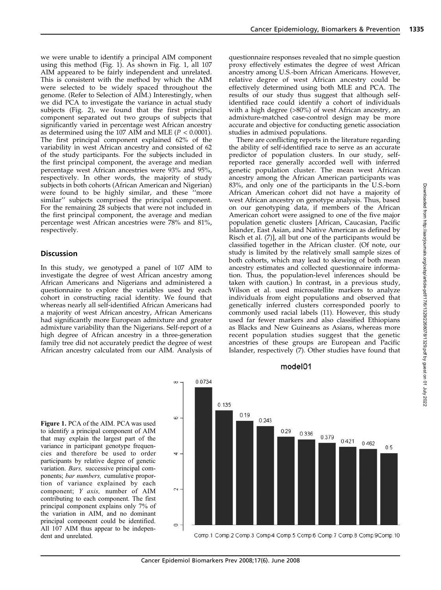we were unable to identify a principal AIM component using this method (Fig. 1). As shown in Fig. 1, all 107 AIM appeared to be fairly independent and unrelated. This is consistent with the method by which the AIM were selected to be widely spaced throughout the genome. (Refer to Selection of AIM.) Interestingly, when we did PCA to investigate the variance in actual study subjects (Fig. 2), we found that the first principal component separated out two groups of subjects that significantly varied in percentage west African ancestry as determined using the 107 AIM and MLE ( $P < 0.0001$ ). The first principal component explained 62% of the variability in west African ancestry and consisted of 62 of the study participants. For the subjects included in the first principal component, the average and median percentage west African ancestries were 93% and 95%, respectively. In other words, the majority of study subjects in both cohorts (African American and Nigerian) were found to be highly similar, and these ''more similar'' subjects comprised the principal component. For the remaining 28 subjects that were not included in the first principal component, the average and median percentage west African ancestries were 78% and 81%, respectively.

## **Discussion**

In this study, we genotyped a panel of 107 AIM to investigate the degree of west African ancestry among African Americans and Nigerians and administered a questionnaire to explore the variables used by each cohort in constructing racial identity. We found that whereas nearly all self-identified African Americans had a majority of west African ancestry, African Americans had significantly more European admixture and greater admixture variability than the Nigerians. Self-report of a high degree of African ancestry in a three-generation family tree did not accurately predict the degree of west African ancestry calculated from our AIM. Analysis of

questionnaire responses revealed that no simple question proxy effectively estimates the degree of west African ancestry among U.S.-born African Americans. However, relative degree of west African ancestry could be effectively determined using both MLE and PCA. The results of our study thus suggest that although selfidentified race could identify a cohort of individuals with a high degree (>80%) of west African ancestry, an admixture-matched case-control design may be more accurate and objective for conducting genetic association studies in admixed populations.

There are conflicting reports in the literature regarding the ability of self-identified race to serve as an accurate predictor of population clusters. In our study, selfreported race generally accorded well with inferred genetic population cluster. The mean west African ancestry among the African American participants was 83%, and only one of the participants in the U.S.-born African American cohort did not have a majority of west African ancestry on genotype analysis. Thus, based on our genotyping data, if members of the African American cohort were assigned to one of the five major population genetic clusters [African, Caucasian, Pacific Islander, East Asian, and Native American as defined by Risch et al. (7)], all but one of the participants would be classified together in the African cluster. (Of note, our study is limited by the relatively small sample sizes of both cohorts, which may lead to skewing of both mean ancestry estimates and collected questionnaire information. Thus, the population-level inferences should be taken with caution.) In contrast, in a previous study, Wilson et al. used microsatellite markers to analyze individuals from eight populations and observed that genetically inferred clusters corresponded poorly to commonly used racial labels (11). However, this study used far fewer markers and also classified Ethiopians as Blacks and New Guineans as Asians, whereas more recent population studies suggest that the genetic ancestries of these groups are European and Pacific Islander, respectively (7). Other studies have found that

#### model01



Figure 1. PCA of the AIM. PCA was used to identify a principal component of AIM that may explain the largest part of the variance in participant genotype frequencies and therefore be used to order participants by relative degree of genetic variation. Bars, successive principal components; bar numbers, cumulative proportion of variance explained by each component; Y axis, number of AIM contributing to each component. The first principal component explains only 7% of the variation in AIM, and no dominant principal component could be identified. All 107 AIM thus appear to be independent and unrelated.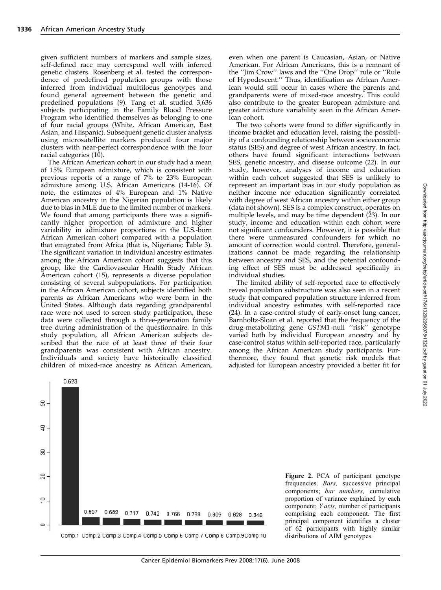given sufficient numbers of markers and sample sizes, self-defined race may correspond well with inferred genetic clusters. Rosenberg et al. tested the correspondence of predefined population groups with those inferred from individual multilocus genotypes and found general agreement between the genetic and predefined populations (9). Tang et al. studied 3,636 subjects participating in the Family Blood Pressure Program who identified themselves as belonging to one of four racial groups (White, African American, East Asian, and Hispanic). Subsequent genetic cluster analysis using microsatellite markers produced four major clusters with near-perfect correspondence with the four racial categories (10).

The African American cohort in our study had a mean of 15% European admixture, which is consistent with previous reports of a range of 7% to 23% European admixture among U.S. African Americans (14-16). Of note, the estimates of 4% European and 1% Native American ancestry in the Nigerian population is likely due to bias in MLE due to the limited number of markers. We found that among participants there was a significantly higher proportion of admixture and higher variability in admixture proportions in the U.S.-born African American cohort compared with a population that emigrated from Africa (that is, Nigerians; Table 3). The significant variation in individual ancestry estimates among the African American cohort suggests that this group, like the Cardiovascular Health Study African American cohort (15), represents a diverse population consisting of several subpopulations. For participation in the African American cohort, subjects identified both parents as African Americans who were born in the United States. Although data regarding grandparental race were not used to screen study participation, these data were collected through a three-generation family tree during administration of the questionnaire. In this study population, all African American subjects described that the race of at least three of their four grandparents was consistent with African ancestry. Individuals and society have historically classified children of mixed-race ancestry as African American, even when one parent is Caucasian, Asian, or Native American. For African Americans, this is a remnant of the ''Jim Crow'' laws and the ''One Drop'' rule or ''Rule of Hypodescent.'' Thus, identification as African American would still occur in cases where the parents and grandparents were of mixed-race ancestry. This could also contribute to the greater European admixture and greater admixture variability seen in the African American cohort.

The two cohorts were found to differ significantly in income bracket and education level, raising the possibility of a confounding relationship between socioeconomic status (SES) and degree of west African ancestry. In fact, others have found significant interactions between SES, genetic ancestry, and disease outcome (22). In our study, however, analyses of income and education within each cohort suggested that SES is unlikely to represent an important bias in our study population as neither income nor education significantly correlated with degree of west African ancestry within either group (data not shown). SES is a complex construct, operates on multiple levels, and may be time dependent (23). In our study, income and education within each cohort were not significant confounders. However, it is possible that there were unmeasured confounders for which no amount of correction would control. Therefore, generalizations cannot be made regarding the relationship between ancestry and SES, and the potential confounding effect of SES must be addressed specifically in individual studies.

The limited ability of self-reported race to effectively reveal population substructure was also seen in a recent study that compared population structure inferred from individual ancestry estimates with self-reported race (24). In a case-control study of early-onset lung cancer, Barnholtz-Sloan et al. reported that the frequency of the drug-metabolizing gene GSTM1-null ''risk'' genotype varied both by individual European ancestry and by case-control status within self-reported race, particularly among the African American study participants. Furthermore, they found that genetic risk models that adjusted for European ancestry provided a better fit for



Figure 2. PCA of participant genotype frequencies. Bars, successive principal components; bar numbers, cumulative proportion of variance explained by each component; Y axis, number of participants comprising each component. The first principal component identifies a cluster of 62 participants with highly similar distributions of AIM genotypes.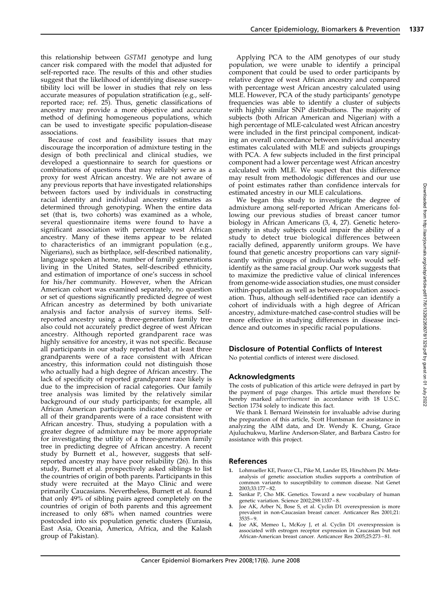this relationship between GSTM1 genotype and lung cancer risk compared with the model that adjusted for self-reported race. The results of this and other studies suggest that the likelihood of identifying disease susceptibility loci will be lower in studies that rely on less accurate measures of population stratification (e.g., selfreported race; ref. 25). Thus, genetic classifications of ancestry may provide a more objective and accurate method of defining homogeneous populations, which can be used to investigate specific population-disease associations.

Because of cost and feasibility issues that may discourage the incorporation of admixture testing in the design of both preclinical and clinical studies, we developed a questionnaire to search for questions or combinations of questions that may reliably serve as a proxy for west African ancestry. We are not aware of any previous reports that have investigated relationships between factors used by individuals in constructing racial identity and individual ancestry estimates as determined through genotyping. When the entire data set (that is, two cohorts) was examined as a whole, several questionnaire items were found to have a significant association with percentage west African ancestry. Many of these items appear to be related to characteristics of an immigrant population (e.g., Nigerians), such as birthplace, self-described nationality, language spoken at home, number of family generations living in the United States, self-described ethnicity, and estimation of importance of one's success in school for his/her community. However, when the African American cohort was examined separately, no question or set of questions significantly predicted degree of west African ancestry as determined by both univariate analysis and factor analysis of survey items. Selfreported ancestry using a three-generation family tree also could not accurately predict degree of west African ancestry. Although reported grandparent race was highly sensitive for ancestry, it was not specific. Because all participants in our study reported that at least three grandparents were of a race consistent with African ancestry, this information could not distinguish those who actually had a high degree of African ancestry. The lack of specificity of reported grandparent race likely is due to the imprecision of racial categories. Our family tree analysis was limited by the relatively similar background of our study participants; for example, all African American participants indicated that three or all of their grandparents were of a race consistent with African ancestry. Thus, studying a population with a greater degree of admixture may be more appropriate for investigating the utility of a three-generation family tree in predicting degree of African ancestry. A recent study by Burnett et al., however, suggests that selfreported ancestry may have poor reliability (26). In this study, Burnett et al. prospectively asked siblings to list the countries of origin of both parents. Participants in this study were recruited at the Mayo Clinic and were primarily Caucasians. Nevertheless, Burnett et al. found that only 49% of sibling pairs agreed completely on the countries of origin of both parents and this agreement increased to only 68% when named countries were postcoded into six population genetic clusters (Eurasia, East Asia, Oceania, America, Africa, and the Kalash group of Pakistan).

Applying PCA to the AIM genotypes of our study population, we were unable to identify a principal component that could be used to order participants by relative degree of west African ancestry and compared with percentage west African ancestry calculated using MLE. However, PCA of the study participants' genotype frequencies was able to identify a cluster of subjects with highly similar SNP distributions. The majority of subjects (both African American and Nigerian) with a high percentage of MLE-calculated west African ancestry were included in the first principal component, indicating an overall concordance between individual ancestry estimates calculated with MLE and subjects groupings with PCA. A few subjects included in the first principal component had a lower percentage west African ancestry calculated with MLE. We suspect that this difference may result from methodologic differences and our use of point estimates rather than confidence intervals for estimated ancestry in our MLE calculations.

We began this study to investigate the degree of admixture among self-reported African Americans following our previous studies of breast cancer tumor biology in African Americans (3, 4, 27). Genetic heterogeneity in study subjects could impair the ability of a study to detect true biological differences between racially defined, apparently uniform groups. We have found that genetic ancestry proportions can vary significantly within groups of individuals who would selfidentify as the same racial group. Our work suggests that to maximize the predictive value of clinical inferences from genome-wide association studies, one must consider within-population as well as between-population association. Thus, although self-identified race can identify a cohort of individuals with a high degree of African ancestry, admixture-matched case-control studies will be more effective in studying differences in disease incidence and outcomes in specific racial populations.

# Disclosure of Potential Conflicts of Interest

No potential conflicts of interest were disclosed.

# Acknowledgments

The costs of publication of this article were defrayed in part by the payment of page charges. This article must therefore be hereby marked advertisement in accordance with 18 U.S.C. Section 1734 solely to indicate this fact.

We thank I. Bernard Weinstein for invaluable advise during the preparation of this article, Scott Huntsman for assistance in analyzing the AIM data, and Dr. Wendy K. Chung, Grace Ajuluchukwu, Marline Anderson-Slater, and Barbara Castro for assistance with this project.

# References

- 1. Lohmueller KE, Pearce CL, Pike M, Lander ES, Hirschhorn JN. Metaanalysis of genetic association studies supports a contribution of common variants to susceptibility to common disease. Nat Genet 2003;33:177 – 82.
- Sankar P, Cho MK. Genetics. Toward a new vocabulary of human genetic variation. Science 2002;298:1337 – 8.
- Joe AK, Arber N, Bose S, et al. Cyclin D1 overexpression is more prevalent in non-Caucasian breast cancer. Anticancer Res 2001;21: 3535 – 9.
- Joe AK, Memeo L, McKoy J, et al. Cyclin D1 overexpression is associated with estrogen receptor expression in Caucasian but not African-American breast cancer. Anticancer Res 2005;25:273– 81.